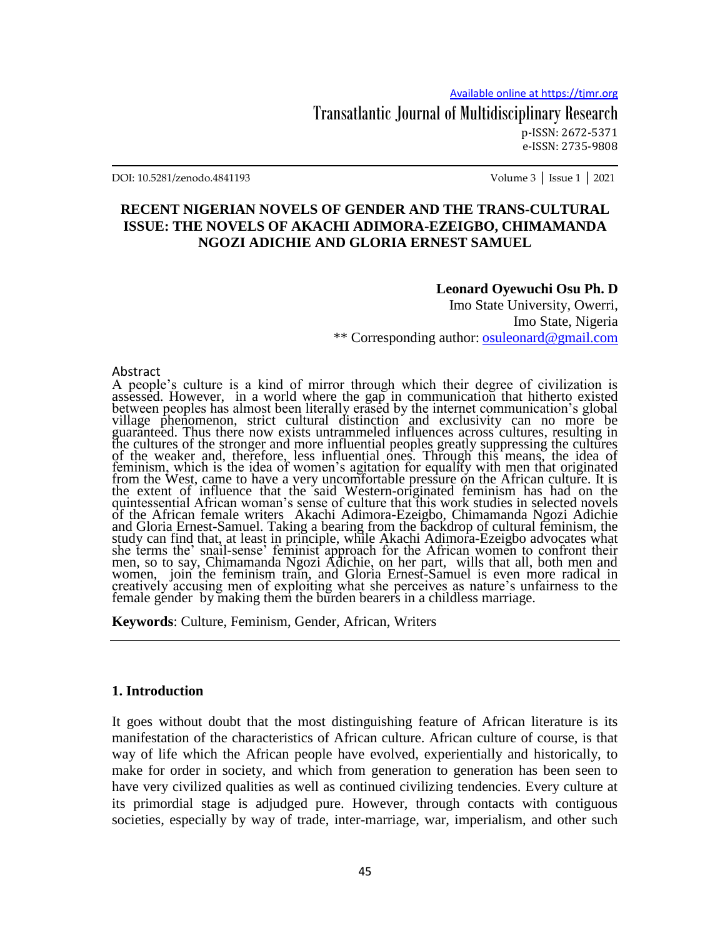Transatlantic Journal of Multidisciplinary Research p-ISSN: 2672-5371 e-ISSN: 2735-9808

DOI: 10.5281/zenodo.4841193 Volume 3 │ Issue 1 │ 2021

### **RECENT NIGERIAN NOVELS OF GENDER AND THE TRANS-CULTURAL ISSUE: THE NOVELS OF AKACHI ADIMORA-EZEIGBO, CHIMAMANDA NGOZI ADICHIE AND GLORIA ERNEST SAMUEL**

### **Leonard Oyewuchi Osu Ph. D**

Imo State University, Owerri, Imo State, Nigeria \*\* Corresponding author: [osuleonard@gmail.com](mailto:osuleonard@gmail.com)

### Abstract

A people"s culture is a kind of mirror through which their degree of civilization is assessed. However, in a world where the gap in communication that hitherto existed between peoples has almost been literally erased by the internet communication's global village phenomenon, strict cultural distinction and exclusivity can no more be guaranteed. Thus there now exists untrammeled influences across cultures, resulting in the cultures of the stronger and more influential peoples greatly suppressing the cultures of the weaker and, therefore, less influential ones. Through this means, the idea of feminism, which is the idea of women"s agitation for equality with men that originated from the West, came to have a very uncomfortable pressure on the African culture. It is the extent of influence that the said Western-originated feminism has had on the quintessential African woman"s sense of culture that this work studies in selected novels of the African female writers Akachi Adimora-Ezeigbo, Chimamanda Ngozi Adichie and Gloria Ernest-Samuel. Taking a bearing from the backdrop of cultural feminism, the study can find that, at least in principle, while Akachi Adimora-Ezeigbo advocates what she terms the" snail-sense" feminist approach for the African women to confront their men, so to say, Chimamanda Ngozi Adichie, on her part, wills that all, both men and women, join the feminism train, and Gloria Ernest-Samuel is even more radical in creatively accusing men of exploiting what she perceives as nature"s unfairness to the female gender by making them the burden bearers in a childless marriage.

**Keywords**: Culture, Feminism, Gender, African, Writers

### **1. Introduction**

It goes without doubt that the most distinguishing feature of African literature is its manifestation of the characteristics of African culture. African culture of course, is that way of life which the African people have evolved, experientially and historically, to make for order in society, and which from generation to generation has been seen to have very civilized qualities as well as continued civilizing tendencies. Every culture at its primordial stage is adjudged pure. However, through contacts with contiguous societies, especially by way of trade, inter-marriage, war, imperialism, and other such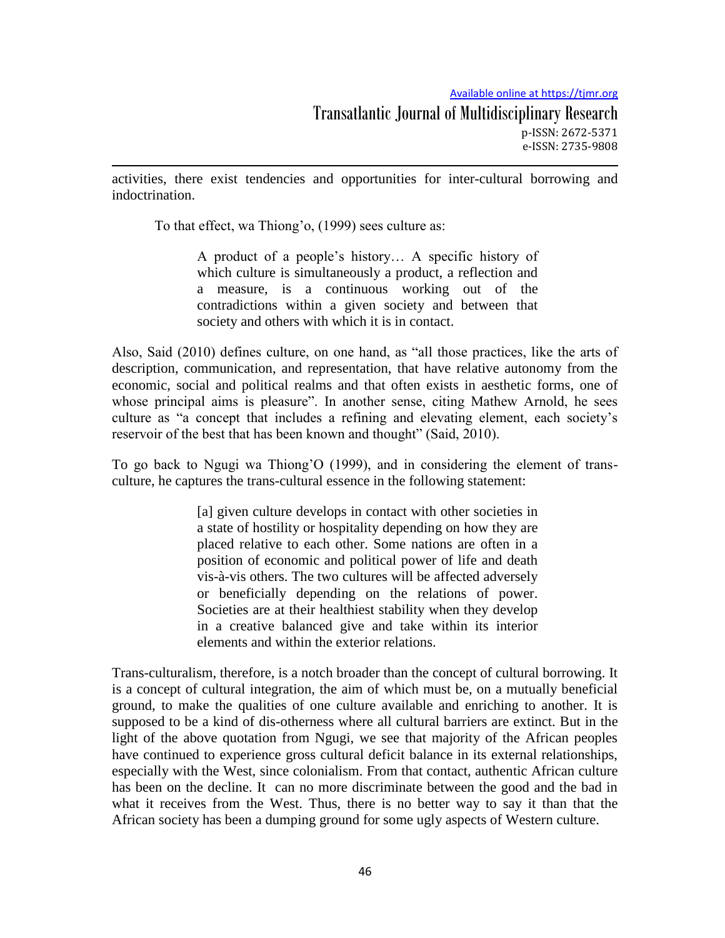Available online at https://tjmr.org

activities, there exist tendencies and opportunities for inter-cultural borrowing and indoctrination.

To that effect, wa Thiong'o, (1999) sees culture as:

A product of a people"s history… A specific history of which culture is simultaneously a product, a reflection and a measure, is a continuous working out of the contradictions within a given society and between that society and others with which it is in contact.

Also, Said (2010) defines culture, on one hand, as "all those practices, like the arts of description, communication, and representation, that have relative autonomy from the economic, social and political realms and that often exists in aesthetic forms, one of whose principal aims is pleasure". In another sense, citing Mathew Arnold, he sees culture as "a concept that includes a refining and elevating element, each society"s reservoir of the best that has been known and thought" (Said, 2010).

To go back to Ngugi wa Thiong"O (1999), and in considering the element of transculture, he captures the trans-cultural essence in the following statement:

> [a] given culture develops in contact with other societies in a state of hostility or hospitality depending on how they are placed relative to each other. Some nations are often in a position of economic and political power of life and death vis-à-vis others. The two cultures will be affected adversely or beneficially depending on the relations of power. Societies are at their healthiest stability when they develop in a creative balanced give and take within its interior elements and within the exterior relations.

Trans-culturalism, therefore, is a notch broader than the concept of cultural borrowing. It is a concept of cultural integration, the aim of which must be, on a mutually beneficial ground, to make the qualities of one culture available and enriching to another. It is supposed to be a kind of dis-otherness where all cultural barriers are extinct. But in the light of the above quotation from Ngugi, we see that majority of the African peoples have continued to experience gross cultural deficit balance in its external relationships, especially with the West, since colonialism. From that contact, authentic African culture has been on the decline. It can no more discriminate between the good and the bad in what it receives from the West. Thus, there is no better way to say it than that the African society has been a dumping ground for some ugly aspects of Western culture.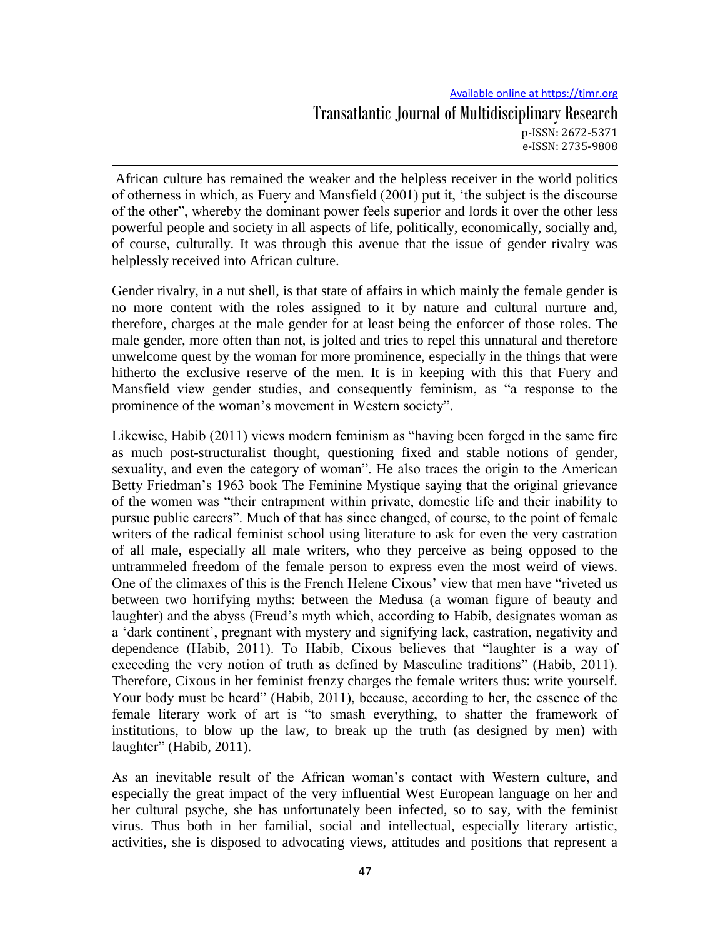## Available online at https://tjmr.org Transatlantic Journal of Multidisciplinary Research p-ISSN: 2672-5371 e-ISSN: 2735-9808

African culture has remained the weaker and the helpless receiver in the world politics of otherness in which, as Fuery and Mansfield (2001) put it, "the subject is the discourse of the other", whereby the dominant power feels superior and lords it over the other less powerful people and society in all aspects of life, politically, economically, socially and, of course, culturally. It was through this avenue that the issue of gender rivalry was helplessly received into African culture.

Gender rivalry, in a nut shell, is that state of affairs in which mainly the female gender is no more content with the roles assigned to it by nature and cultural nurture and, therefore, charges at the male gender for at least being the enforcer of those roles. The male gender, more often than not, is jolted and tries to repel this unnatural and therefore unwelcome quest by the woman for more prominence, especially in the things that were hitherto the exclusive reserve of the men. It is in keeping with this that Fuery and Mansfield view gender studies, and consequently feminism, as "a response to the prominence of the woman"s movement in Western society".

Likewise, Habib (2011) views modern feminism as "having been forged in the same fire as much post-structuralist thought, questioning fixed and stable notions of gender, sexuality, and even the category of woman". He also traces the origin to the American Betty Friedman's 1963 book The Feminine Mystique saying that the original grievance of the women was "their entrapment within private, domestic life and their inability to pursue public careers". Much of that has since changed, of course, to the point of female writers of the radical feminist school using literature to ask for even the very castration of all male, especially all male writers, who they perceive as being opposed to the untrammeled freedom of the female person to express even the most weird of views. One of the climaxes of this is the French Helene Cixous' view that men have "riveted us between two horrifying myths: between the Medusa (a woman figure of beauty and laughter) and the abyss (Freud's myth which, according to Habib, designates woman as a "dark continent", pregnant with mystery and signifying lack, castration, negativity and dependence (Habib, 2011). To Habib, Cixous believes that "laughter is a way of exceeding the very notion of truth as defined by Masculine traditions" (Habib, 2011). Therefore, Cixous in her feminist frenzy charges the female writers thus: write yourself. Your body must be heard" (Habib, 2011), because, according to her, the essence of the female literary work of art is "to smash everything, to shatter the framework of institutions, to blow up the law, to break up the truth (as designed by men) with laughter" (Habib, 2011).

As an inevitable result of the African woman"s contact with Western culture, and especially the great impact of the very influential West European language on her and her cultural psyche, she has unfortunately been infected, so to say, with the feminist virus. Thus both in her familial, social and intellectual, especially literary artistic, activities, she is disposed to advocating views, attitudes and positions that represent a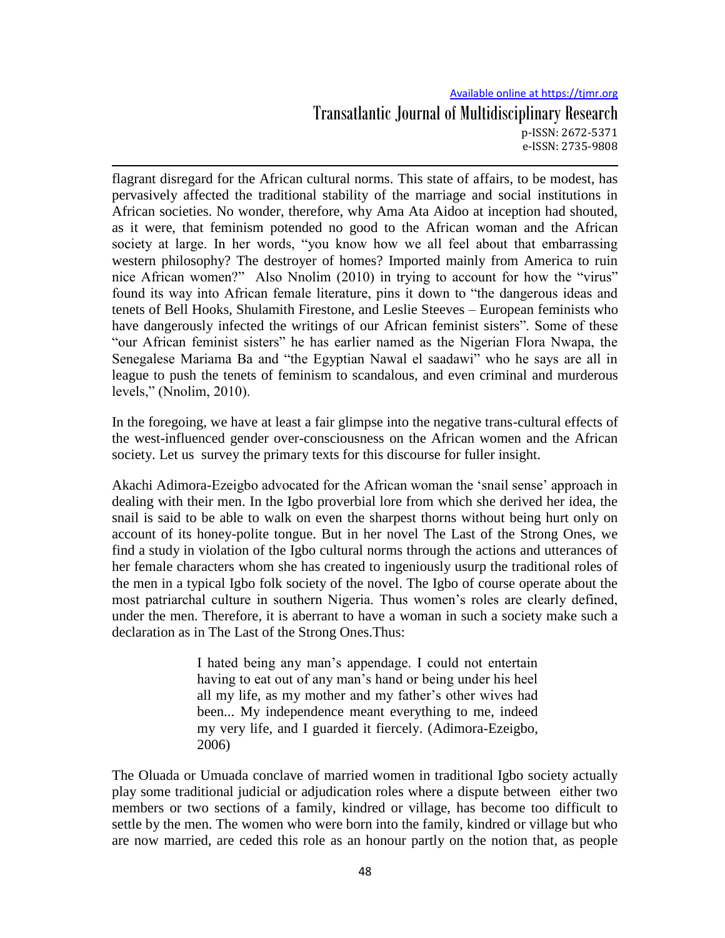# Available online at https://tjmr.org Transatlantic Journal of Multidisciplinary Research p-ISSN: 2672-5371 e-ISSN: 2735-9808

flagrant disregard for the African cultural norms. This state of affairs, to be modest, has pervasively affected the traditional stability of the marriage and social institutions in African societies. No wonder, therefore, why Ama Ata Aidoo at inception had shouted, as it were, that feminism potended no good to the African woman and the African society at large. In her words, "you know how we all feel about that embarrassing western philosophy? The destroyer of homes? Imported mainly from America to ruin nice African women?" Also Nnolim (2010) in trying to account for how the "virus" found its way into African female literature, pins it down to "the dangerous ideas and tenets of Bell Hooks, Shulamith Firestone, and Leslie Steeves – European feminists who have dangerously infected the writings of our African feminist sisters". Some of these "our African feminist sisters" he has earlier named as the Nigerian Flora Nwapa, the Senegalese Mariama Ba and "the Egyptian Nawal el saadawi" who he says are all in league to push the tenets of feminism to scandalous, and even criminal and murderous levels," (Nnolim, 2010).

In the foregoing, we have at least a fair glimpse into the negative trans-cultural effects of the west-influenced gender over-consciousness on the African women and the African society. Let us survey the primary texts for this discourse for fuller insight.

Akachi Adimora-Ezeigbo advocated for the African woman the "snail sense" approach in dealing with their men. In the Igbo proverbial lore from which she derived her idea, the snail is said to be able to walk on even the sharpest thorns without being hurt only on account of its honey-polite tongue. But in her novel The Last of the Strong Ones, we find a study in violation of the Igbo cultural norms through the actions and utterances of her female characters whom she has created to ingeniously usurp the traditional roles of the men in a typical Igbo folk society of the novel. The Igbo of course operate about the most patriarchal culture in southern Nigeria. Thus women"s roles are clearly defined, under the men. Therefore, it is aberrant to have a woman in such a society make such a declaration as in The Last of the Strong Ones.Thus:

> I hated being any man"s appendage. I could not entertain having to eat out of any man's hand or being under his heel all my life, as my mother and my father"s other wives had been... My independence meant everything to me, indeed my very life, and I guarded it fiercely. (Adimora-Ezeigbo, 2006)

The Oluada or Umuada conclave of married women in traditional Igbo society actually play some traditional judicial or adjudication roles where a dispute between either two members or two sections of a family, kindred or village, has become too difficult to settle by the men. The women who were born into the family, kindred or village but who are now married, are ceded this role as an honour partly on the notion that, as people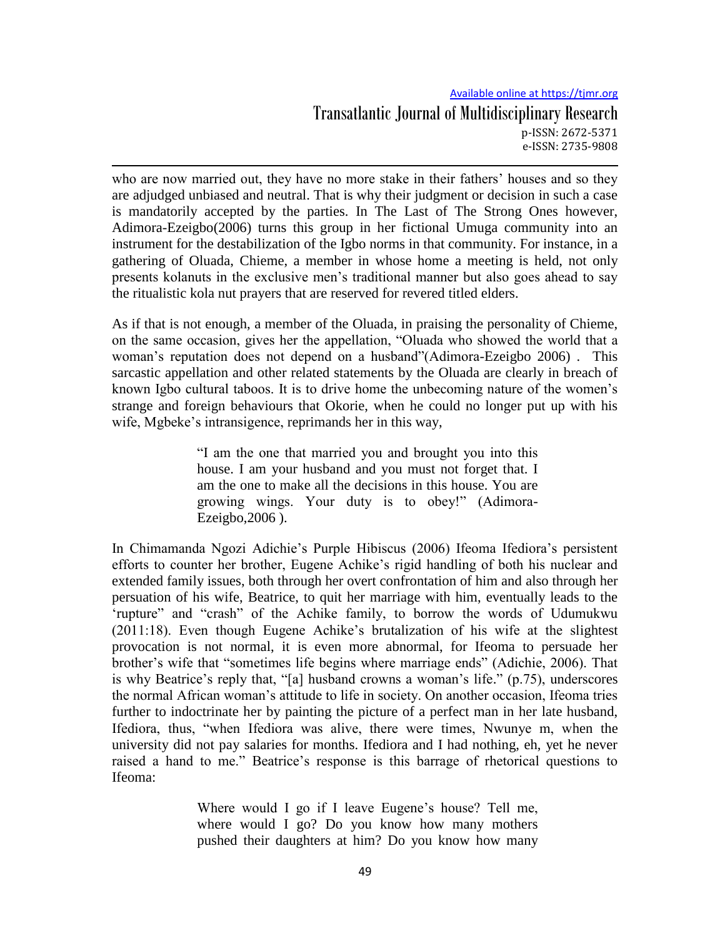# Available online at https://tjmr.org Transatlantic Journal of Multidisciplinary Research p-ISSN: 2672-5371 e-ISSN: 2735-9808

who are now married out, they have no more stake in their fathers' houses and so they are adjudged unbiased and neutral. That is why their judgment or decision in such a case is mandatorily accepted by the parties. In The Last of The Strong Ones however, Adimora-Ezeigbo(2006) turns this group in her fictional Umuga community into an instrument for the destabilization of the Igbo norms in that community. For instance, in a gathering of Oluada, Chieme, a member in whose home a meeting is held, not only presents kolanuts in the exclusive men"s traditional manner but also goes ahead to say the ritualistic kola nut prayers that are reserved for revered titled elders.

As if that is not enough, a member of the Oluada, in praising the personality of Chieme, on the same occasion, gives her the appellation, "Oluada who showed the world that a woman"s reputation does not depend on a husband"(Adimora-Ezeigbo 2006) . This sarcastic appellation and other related statements by the Oluada are clearly in breach of known Igbo cultural taboos. It is to drive home the unbecoming nature of the women"s strange and foreign behaviours that Okorie, when he could no longer put up with his wife, Mgbeke's intransigence, reprimands her in this way,

> "I am the one that married you and brought you into this house. I am your husband and you must not forget that. I am the one to make all the decisions in this house. You are growing wings. Your duty is to obey!" (Adimora-Ezeigbo,2006 ).

In Chimamanda Ngozi Adichie"s Purple Hibiscus (2006) Ifeoma Ifediora"s persistent efforts to counter her brother, Eugene Achike"s rigid handling of both his nuclear and extended family issues, both through her overt confrontation of him and also through her persuation of his wife, Beatrice, to quit her marriage with him, eventually leads to the "rupture" and "crash" of the Achike family, to borrow the words of Udumukwu (2011:18). Even though Eugene Achike"s brutalization of his wife at the slightest provocation is not normal, it is even more abnormal, for Ifeoma to persuade her brother"s wife that "sometimes life begins where marriage ends" (Adichie, 2006). That is why Beatrice's reply that, "[a] husband crowns a woman's life." (p.75), underscores the normal African woman"s attitude to life in society. On another occasion, Ifeoma tries further to indoctrinate her by painting the picture of a perfect man in her late husband, Ifediora, thus, "when Ifediora was alive, there were times, Nwunye m, when the university did not pay salaries for months. Ifediora and I had nothing, eh, yet he never raised a hand to me." Beatrice"s response is this barrage of rhetorical questions to Ifeoma:

> Where would I go if I leave Eugene's house? Tell me, where would I go? Do you know how many mothers pushed their daughters at him? Do you know how many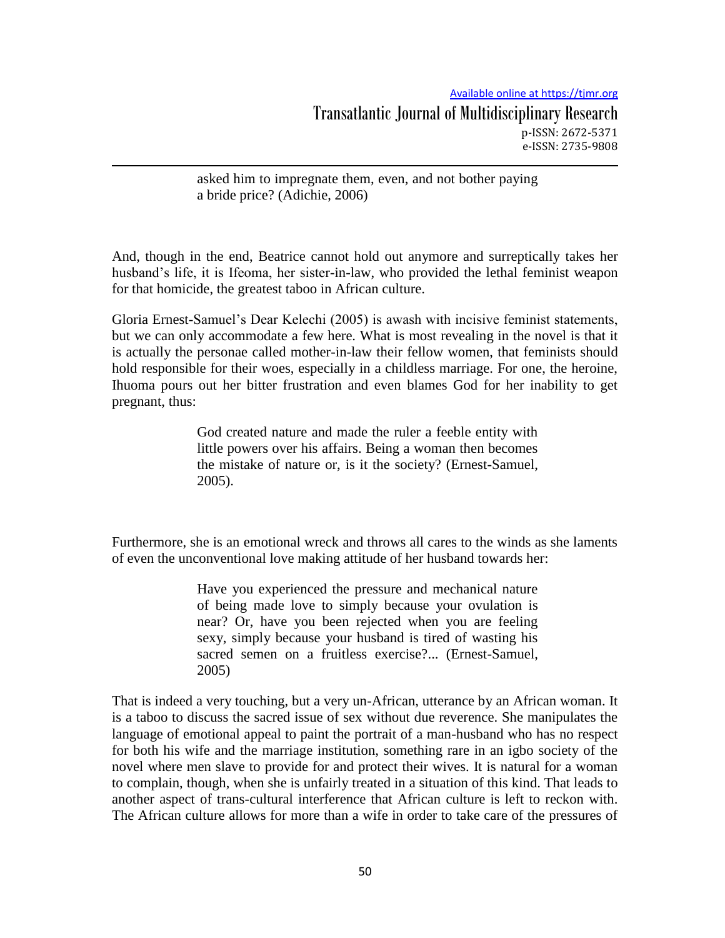asked him to impregnate them, even, and not bother paying a bride price? (Adichie, 2006)

And, though in the end, Beatrice cannot hold out anymore and surreptically takes her husband"s life, it is Ifeoma, her sister-in-law, who provided the lethal feminist weapon for that homicide, the greatest taboo in African culture.

Gloria Ernest-Samuel"s Dear Kelechi (2005) is awash with incisive feminist statements, but we can only accommodate a few here. What is most revealing in the novel is that it is actually the personae called mother-in-law their fellow women, that feminists should hold responsible for their woes, especially in a childless marriage. For one, the heroine, Ihuoma pours out her bitter frustration and even blames God for her inability to get pregnant, thus:

> God created nature and made the ruler a feeble entity with little powers over his affairs. Being a woman then becomes the mistake of nature or, is it the society? (Ernest-Samuel, 2005).

Furthermore, she is an emotional wreck and throws all cares to the winds as she laments of even the unconventional love making attitude of her husband towards her:

> Have you experienced the pressure and mechanical nature of being made love to simply because your ovulation is near? Or, have you been rejected when you are feeling sexy, simply because your husband is tired of wasting his sacred semen on a fruitless exercise?... (Ernest-Samuel, 2005)

That is indeed a very touching, but a very un-African, utterance by an African woman. It is a taboo to discuss the sacred issue of sex without due reverence. She manipulates the language of emotional appeal to paint the portrait of a man-husband who has no respect for both his wife and the marriage institution, something rare in an igbo society of the novel where men slave to provide for and protect their wives. It is natural for a woman to complain, though, when she is unfairly treated in a situation of this kind. That leads to another aspect of trans-cultural interference that African culture is left to reckon with. The African culture allows for more than a wife in order to take care of the pressures of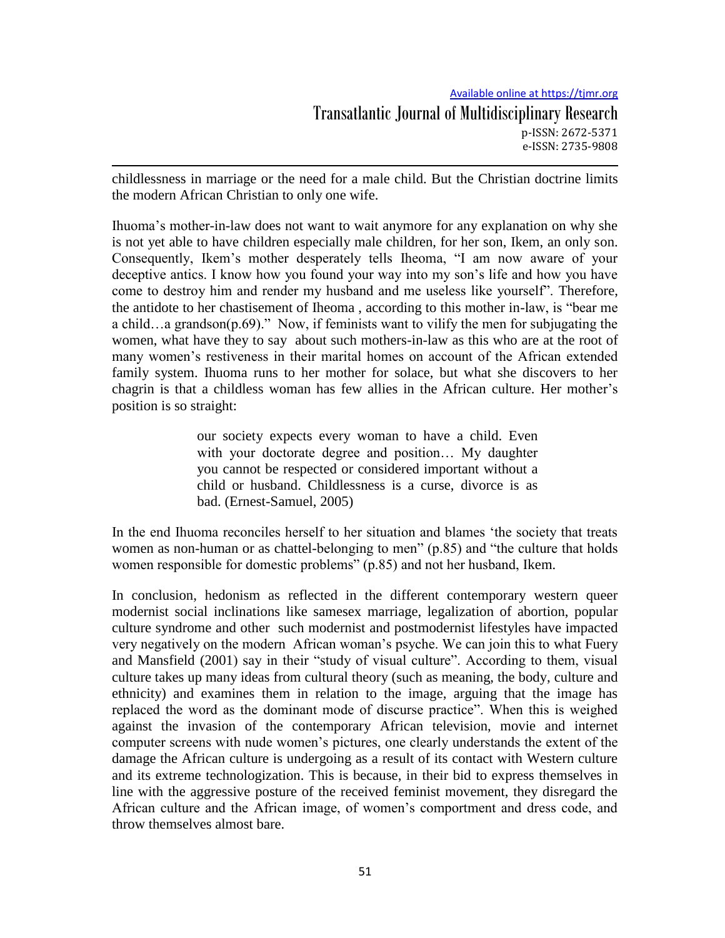childlessness in marriage or the need for a male child. But the Christian doctrine limits the modern African Christian to only one wife.

Ihuoma"s mother-in-law does not want to wait anymore for any explanation on why she is not yet able to have children especially male children, for her son, Ikem, an only son. Consequently, Ikem"s mother desperately tells Iheoma, "I am now aware of your deceptive antics. I know how you found your way into my son"s life and how you have come to destroy him and render my husband and me useless like yourself". Therefore, the antidote to her chastisement of Iheoma , according to this mother in-law, is "bear me a child…a grandson(p.69)." Now, if feminists want to vilify the men for subjugating the women, what have they to say about such mothers-in-law as this who are at the root of many women"s restiveness in their marital homes on account of the African extended family system. Ihuoma runs to her mother for solace, but what she discovers to her chagrin is that a childless woman has few allies in the African culture. Her mother"s position is so straight:

> our society expects every woman to have a child. Even with your doctorate degree and position... My daughter you cannot be respected or considered important without a child or husband. Childlessness is a curse, divorce is as bad. (Ernest-Samuel, 2005)

In the end Ihuoma reconciles herself to her situation and blames "the society that treats women as non-human or as chattel-belonging to men" (p.85) and "the culture that holds women responsible for domestic problems" (p.85) and not her husband, Ikem.

In conclusion, hedonism as reflected in the different contemporary western queer modernist social inclinations like samesex marriage, legalization of abortion, popular culture syndrome and other such modernist and postmodernist lifestyles have impacted very negatively on the modern African woman"s psyche. We can join this to what Fuery and Mansfield (2001) say in their "study of visual culture". According to them, visual culture takes up many ideas from cultural theory (such as meaning, the body, culture and ethnicity) and examines them in relation to the image, arguing that the image has replaced the word as the dominant mode of discurse practice". When this is weighed against the invasion of the contemporary African television, movie and internet computer screens with nude women"s pictures, one clearly understands the extent of the damage the African culture is undergoing as a result of its contact with Western culture and its extreme technologization. This is because, in their bid to express themselves in line with the aggressive posture of the received feminist movement, they disregard the African culture and the African image, of women"s comportment and dress code, and throw themselves almost bare.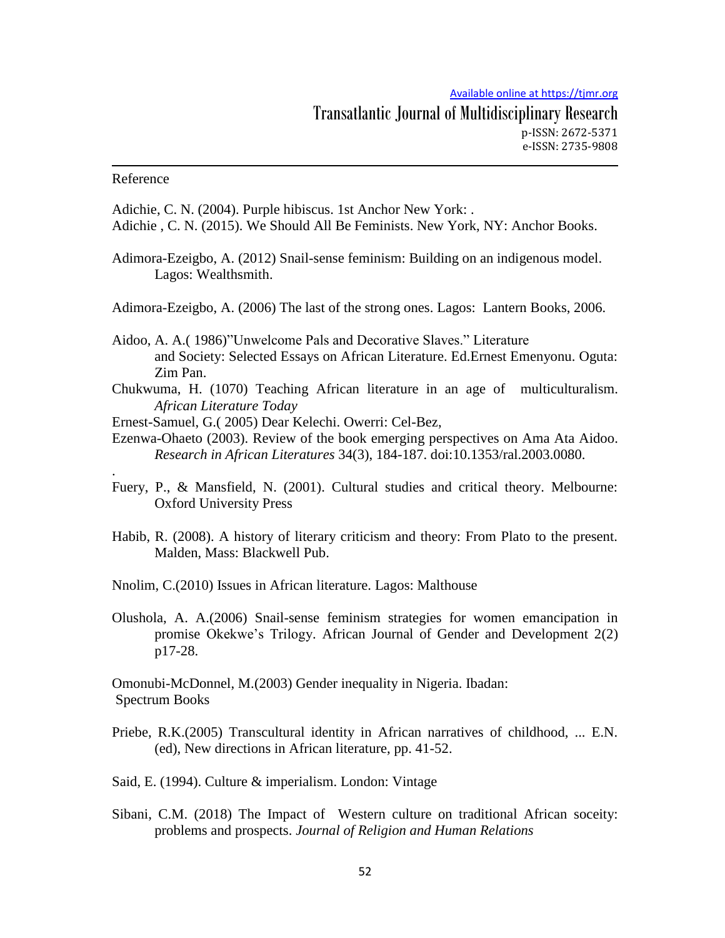### Reference

.

Adichie, C. N. (2004). Purple hibiscus. 1st Anchor New York: . Adichie , C. N. (2015). We Should All Be Feminists. New York, NY: Anchor Books.

- Adimora-Ezeigbo, A. (2012) Snail-sense feminism: Building on an indigenous model. Lagos: Wealthsmith.
- Adimora-Ezeigbo, A. (2006) The last of the strong ones. Lagos: Lantern Books, 2006.
- Aidoo, A. A.( 1986)"Unwelcome Pals and Decorative Slaves." Literature and Society: Selected Essays on African Literature. Ed.Ernest Emenyonu. Oguta: Zim Pan.
- Chukwuma, H. (1070) Teaching African literature in an age of multiculturalism. *African Literature Today*
- Ernest-Samuel, G.( 2005) Dear Kelechi. Owerri: Cel-Bez,
- Ezenwa-Ohaeto (2003). Review of the book emerging perspectives on Ama Ata Aidoo. *Research in African Literatures* 34(3), 184-187. doi:10.1353/ral.2003.0080.
- Fuery, P., & Mansfield, N. (2001). Cultural studies and critical theory. Melbourne: Oxford University Press
- Habib, R. (2008). A history of literary criticism and theory: From Plato to the present. Malden, Mass: Blackwell Pub.

Nnolim, C.(2010) Issues in African literature. Lagos: Malthouse

Olushola, A. A.(2006) Snail-sense feminism strategies for women emancipation in promise Okekwe"s Trilogy. African Journal of Gender and Development 2(2) p17-28.

Omonubi-McDonnel, M.(2003) Gender inequality in Nigeria. Ibadan: Spectrum Books

- Priebe, R.K.(2005) Transcultural identity in African narratives of childhood, ... E.N. (ed), New directions in African literature, pp. 41-52.
- Said, E. (1994). Culture & imperialism. London: Vintage
- Sibani, C.M. (2018) The Impact of Western culture on traditional African soceity: problems and prospects. *Journal of Religion and Human Relations*